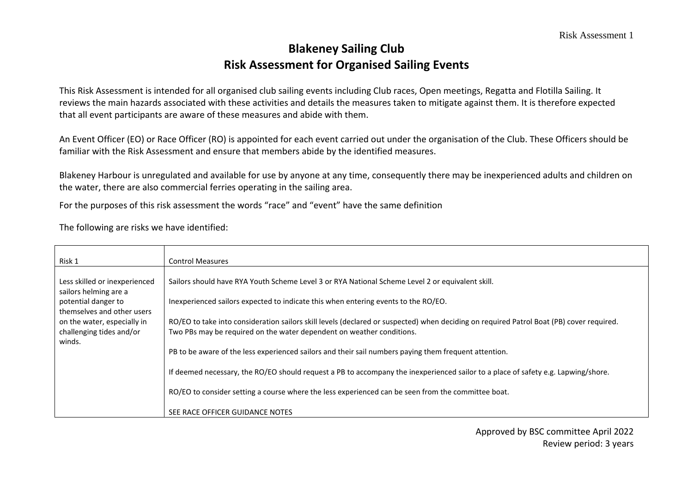## **Blakeney Sailing Club Risk Assessment for Organised Sailing Events**

This Risk Assessment is intended for all organised club sailing events including Club races, Open meetings, Regatta and Flotilla Sailing. It reviews the main hazards associated with these activities and details the measures taken to mitigate against them. It is therefore expected that all event participants are aware of these measures and abide with them.

An Event Officer (EO) or Race Officer (RO) is appointed for each event carried out under the organisation of the Club. These Officers should be familiar with the Risk Assessment and ensure that members abide by the identified measures.

Blakeney Harbour is unregulated and available for use by anyone at any time, consequently there may be inexperienced adults and children on the water, there are also commercial ferries operating in the sailing area.

For the purposes of this risk assessment the words "race" and "event" have the same definition

The following are risks we have identified:

| Risk 1                                                                                                      | <b>Control Measures</b>                                                                                                                                                                                           |
|-------------------------------------------------------------------------------------------------------------|-------------------------------------------------------------------------------------------------------------------------------------------------------------------------------------------------------------------|
| Less skilled or inexperienced<br>sailors helming are a<br>potential danger to<br>themselves and other users | Sailors should have RYA Youth Scheme Level 3 or RYA National Scheme Level 2 or equivalent skill.<br>Inexperienced sailors expected to indicate this when entering events to the RO/EO.                            |
| on the water, especially in<br>challenging tides and/or                                                     | RO/EO to take into consideration sailors skill levels (declared or suspected) when deciding on required Patrol Boat (PB) cover required.<br>Two PBs may be required on the water dependent on weather conditions. |
| winds.                                                                                                      | PB to be aware of the less experienced sailors and their sail numbers paying them frequent attention.                                                                                                             |
|                                                                                                             | If deemed necessary, the RO/EO should request a PB to accompany the inexperienced sailor to a place of safety e.g. Lapwing/shore.                                                                                 |
|                                                                                                             | RO/EO to consider setting a course where the less experienced can be seen from the committee boat.                                                                                                                |
|                                                                                                             | SEE RACE OFFICER GUIDANCE NOTES                                                                                                                                                                                   |

Approved by BSC committee April 2022 Review period: 3 years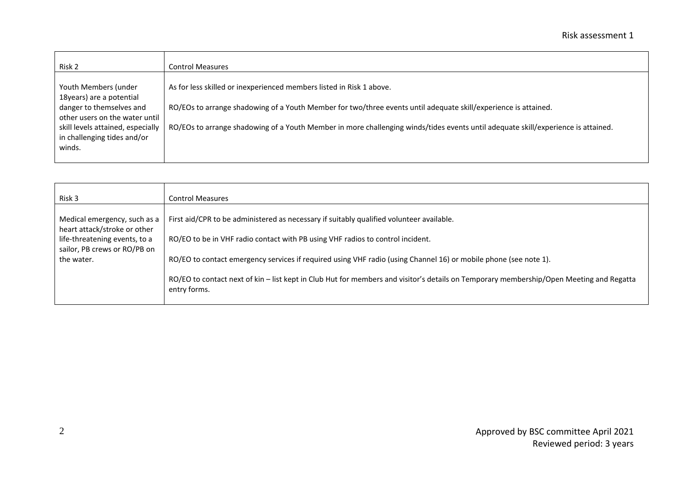| Risk 2                                                           | Control Measures                                                                                                                  |
|------------------------------------------------------------------|-----------------------------------------------------------------------------------------------------------------------------------|
| Youth Members (under<br>18 years) are a potential                | As for less skilled or inexperienced members listed in Risk 1 above.                                                              |
| danger to themselves and<br>other users on the water until       | RO/EOs to arrange shadowing of a Youth Member for two/three events until adequate skill/experience is attained.                   |
| skill levels attained, especially<br>in challenging tides and/or | RO/EOs to arrange shadowing of a Youth Member in more challenging winds/tides events until adequate skill/experience is attained. |
| winds.                                                           |                                                                                                                                   |

| Risk 3                                                        | <b>Control Measures</b>                                                                                                                                 |
|---------------------------------------------------------------|---------------------------------------------------------------------------------------------------------------------------------------------------------|
| Medical emergency, such as a<br>heart attack/stroke or other  | First aid/CPR to be administered as necessary if suitably qualified volunteer available.                                                                |
| life-threatening events, to a<br>sailor, PB crews or RO/PB on | RO/EO to be in VHF radio contact with PB using VHF radios to control incident.                                                                          |
| the water.                                                    | RO/EO to contact emergency services if required using VHF radio (using Channel 16) or mobile phone (see note 1).                                        |
|                                                               | RO/EO to contact next of kin - list kept in Club Hut for members and visitor's details on Temporary membership/Open Meeting and Regatta<br>entry forms. |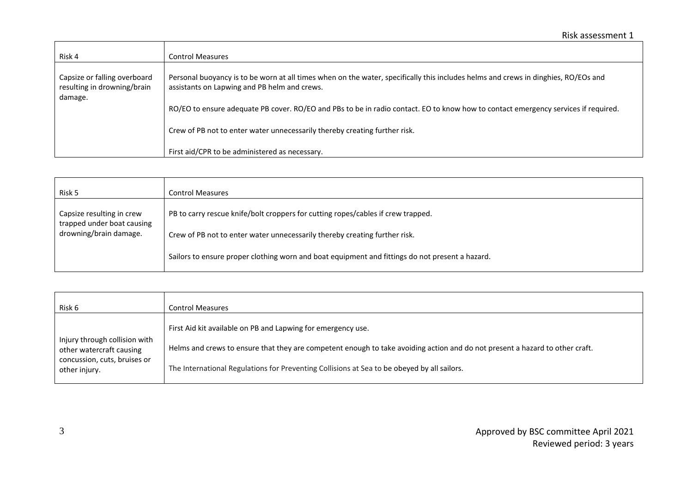| Risk 4                                                                 | <b>Control Measures</b>                                                                                                                                                            |
|------------------------------------------------------------------------|------------------------------------------------------------------------------------------------------------------------------------------------------------------------------------|
| Capsize or falling overboard<br>resulting in drowning/brain<br>damage. | Personal buoyancy is to be worn at all times when on the water, specifically this includes helms and crews in dinghies, RO/EOs and<br>assistants on Lapwing and PB helm and crews. |
|                                                                        | RO/EO to ensure adequate PB cover. RO/EO and PBs to be in radio contact. EO to know how to contact emergency services if required.                                                 |
|                                                                        | Crew of PB not to enter water unnecessarily thereby creating further risk.                                                                                                         |
|                                                                        | First aid/CPR to be administered as necessary.                                                                                                                                     |

| Risk 5                                                  | <b>Control Measures</b>                                                                         |
|---------------------------------------------------------|-------------------------------------------------------------------------------------------------|
| Capsize resulting in crew<br>trapped under boat causing | PB to carry rescue knife/bolt croppers for cutting ropes/cables if crew trapped.                |
| drowning/brain damage.                                  | Crew of PB not to enter water unnecessarily thereby creating further risk.                      |
|                                                         | Sailors to ensure proper clothing worn and boat equipment and fittings do not present a hazard. |

| Risk 6                                                    | <b>Control Measures</b>                                                                                                      |
|-----------------------------------------------------------|------------------------------------------------------------------------------------------------------------------------------|
|                                                           | First Aid kit available on PB and Lapwing for emergency use.                                                                 |
| Injury through collision with<br>other watercraft causing | Helms and crews to ensure that they are competent enough to take avoiding action and do not present a hazard to other craft. |
| concussion, cuts, bruises or<br>other injury.             | The International Regulations for Preventing Collisions at Sea to be obeyed by all sailors.                                  |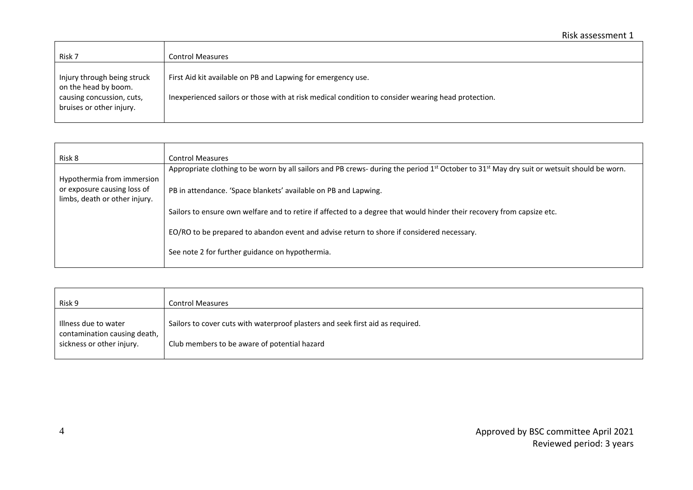| Risk 7                                                                           | <b>Control Measures</b>                                                                                                                                            |
|----------------------------------------------------------------------------------|--------------------------------------------------------------------------------------------------------------------------------------------------------------------|
| Injury through being struck<br>on the head by boom.<br>causing concussion, cuts, | First Aid kit available on PB and Lapwing for emergency use.<br>Inexperienced sailors or those with at risk medical condition to consider wearing head protection. |
| bruises or other injury.                                                         |                                                                                                                                                                    |

| Risk 8                        | <b>Control Measures</b>                                                                                                                                            |
|-------------------------------|--------------------------------------------------------------------------------------------------------------------------------------------------------------------|
|                               | Appropriate clothing to be worn by all sailors and PB crews- during the period 1 <sup>st</sup> October to 31 <sup>st</sup> May dry suit or wetsuit should be worn. |
| Hypothermia from immersion    |                                                                                                                                                                    |
| or exposure causing loss of   | PB in attendance. 'Space blankets' available on PB and Lapwing.                                                                                                    |
| limbs, death or other injury. |                                                                                                                                                                    |
|                               | Sailors to ensure own welfare and to retire if affected to a degree that would hinder their recovery from capsize etc.                                             |
|                               |                                                                                                                                                                    |
|                               | EO/RO to be prepared to abandon event and advise return to shore if considered necessary.                                                                          |
|                               |                                                                                                                                                                    |
|                               | See note 2 for further guidance on hypothermia.                                                                                                                    |
|                               |                                                                                                                                                                    |

| Risk 9                       | <b>Control Measures</b>                                                        |
|------------------------------|--------------------------------------------------------------------------------|
|                              |                                                                                |
| Illness due to water         | Sailors to cover cuts with waterproof plasters and seek first aid as required. |
| contamination causing death, |                                                                                |
| sickness or other injury.    | Club members to be aware of potential hazard                                   |
|                              |                                                                                |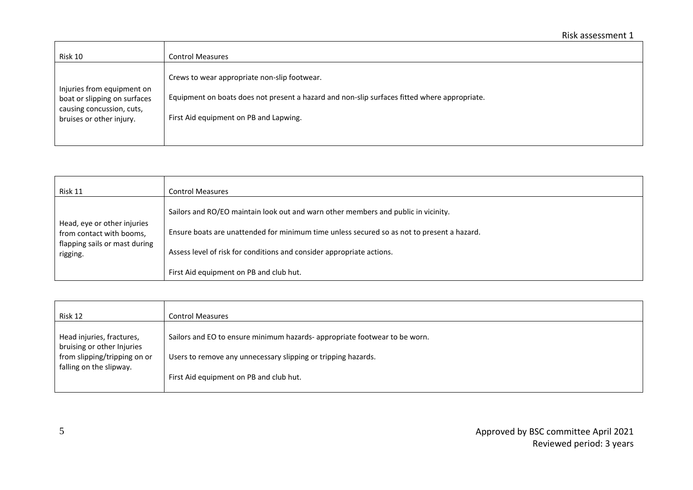| Risk 10                                                                                                             | <b>Control Measures</b>                                                                                                                                                                |
|---------------------------------------------------------------------------------------------------------------------|----------------------------------------------------------------------------------------------------------------------------------------------------------------------------------------|
| Injuries from equipment on<br>boat or slipping on surfaces<br>causing concussion, cuts,<br>bruises or other injury. | Crews to wear appropriate non-slip footwear.<br>Equipment on boats does not present a hazard and non-slip surfaces fitted where appropriate.<br>First Aid equipment on PB and Lapwing. |
|                                                                                                                     |                                                                                                                                                                                        |

| Risk 11                                                                                              | <b>Control Measures</b>                                                                    |
|------------------------------------------------------------------------------------------------------|--------------------------------------------------------------------------------------------|
|                                                                                                      | Sailors and RO/EO maintain look out and warn other members and public in vicinity.         |
| Head, eye or other injuries<br>from contact with booms,<br>flapping sails or mast during<br>rigging. | Ensure boats are unattended for minimum time unless secured so as not to present a hazard. |
|                                                                                                      | Assess level of risk for conditions and consider appropriate actions.                      |
|                                                                                                      | First Aid equipment on PB and club hut.                                                    |

| Risk 12                                                 | <b>Control Measures</b>                                                   |
|---------------------------------------------------------|---------------------------------------------------------------------------|
| Head injuries, fractures,<br>bruising or other Injuries | Sailors and EO to ensure minimum hazards-appropriate footwear to be worn. |
| from slipping/tripping on or<br>falling on the slipway. | Users to remove any unnecessary slipping or tripping hazards.             |
|                                                         | First Aid equipment on PB and club hut.                                   |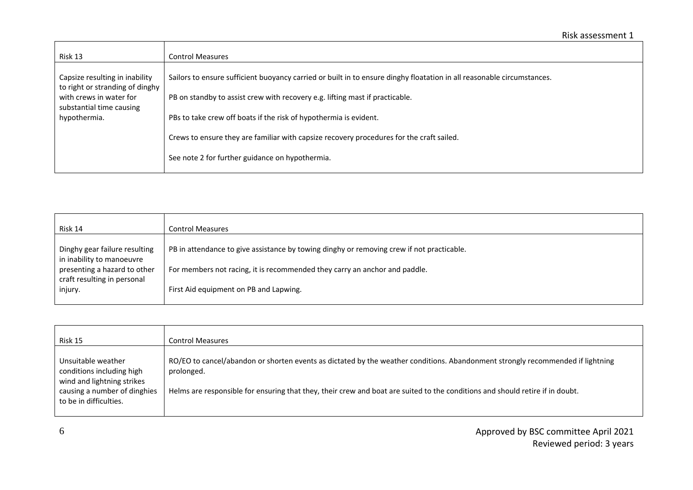| Risk 13                                                                                                                                  | <b>Control Measures</b>                                                                                                                                                                                                                                                                                                                                                 |
|------------------------------------------------------------------------------------------------------------------------------------------|-------------------------------------------------------------------------------------------------------------------------------------------------------------------------------------------------------------------------------------------------------------------------------------------------------------------------------------------------------------------------|
| Capsize resulting in inability<br>to right or stranding of dinghy<br>with crews in water for<br>substantial time causing<br>hypothermia. | Sailors to ensure sufficient buoyancy carried or built in to ensure dinghy floatation in all reasonable circumstances.<br>PB on standby to assist crew with recovery e.g. lifting mast if practicable.<br>PBs to take crew off boats if the risk of hypothermia is evident.<br>Crews to ensure they are familiar with capsize recovery procedures for the craft sailed. |
|                                                                                                                                          | See note 2 for further guidance on hypothermia.                                                                                                                                                                                                                                                                                                                         |

| Risk 14                                                     | <b>Control Measures</b>                                                                   |
|-------------------------------------------------------------|-------------------------------------------------------------------------------------------|
| Dinghy gear failure resulting<br>in inability to manoeuvre  | PB in attendance to give assistance by towing dinghy or removing crew if not practicable. |
| presenting a hazard to other<br>craft resulting in personal | For members not racing, it is recommended they carry an anchor and paddle.                |
| injury.                                                     | First Aid equipment on PB and Lapwing.                                                    |

| Risk 15                                                                                                                                 | <b>Control Measures</b>                                                                                                                                                                                                                                                       |
|-----------------------------------------------------------------------------------------------------------------------------------------|-------------------------------------------------------------------------------------------------------------------------------------------------------------------------------------------------------------------------------------------------------------------------------|
| Unsuitable weather<br>conditions including high<br>wind and lightning strikes<br>causing a number of dinghies<br>to be in difficulties. | RO/EO to cancel/abandon or shorten events as dictated by the weather conditions. Abandonment strongly recommended if lightning<br>prolonged.<br>Helms are responsible for ensuring that they, their crew and boat are suited to the conditions and should retire if in doubt. |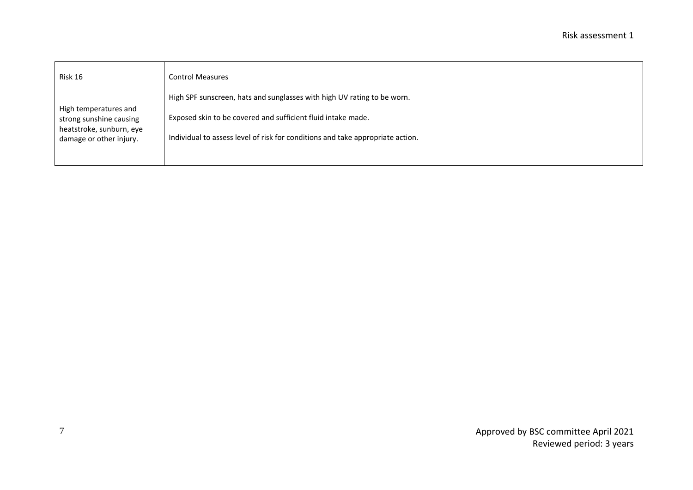| Risk 16                                                                                                 | <b>Control Measures</b>                                                                                                                                                                                                   |
|---------------------------------------------------------------------------------------------------------|---------------------------------------------------------------------------------------------------------------------------------------------------------------------------------------------------------------------------|
| High temperatures and<br>strong sunshine causing<br>heatstroke, sunburn, eye<br>damage or other injury. | High SPF sunscreen, hats and sunglasses with high UV rating to be worn.<br>Exposed skin to be covered and sufficient fluid intake made.<br>Individual to assess level of risk for conditions and take appropriate action. |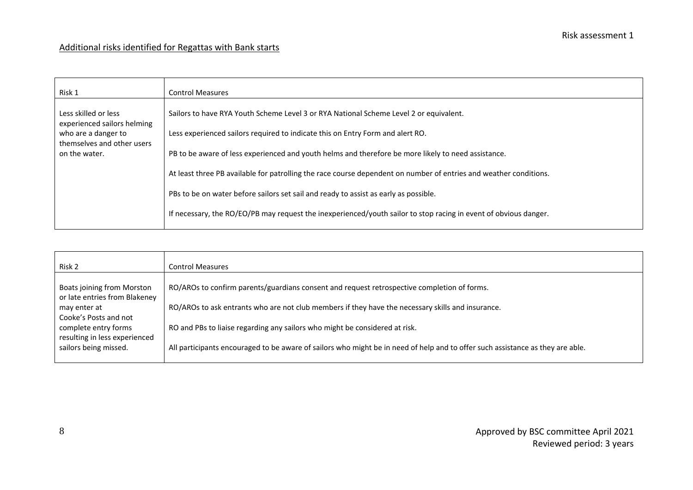## Additional risks identified for Regattas with Bank starts

| Risk 2                                                      | <b>Control Measures</b>                                                                                                        |
|-------------------------------------------------------------|--------------------------------------------------------------------------------------------------------------------------------|
| Boats joining from Morston<br>or late entries from Blakeney | RO/AROs to confirm parents/guardians consent and request retrospective completion of forms.                                    |
| may enter at<br>Cooke's Posts and not                       | RO/AROs to ask entrants who are not club members if they have the necessary skills and insurance.                              |
| complete entry forms<br>resulting in less experienced       | RO and PBs to liaise regarding any sailors who might be considered at risk.                                                    |
| sailors being missed.                                       | All participants encouraged to be aware of sailors who might be in need of help and to offer such assistance as they are able. |